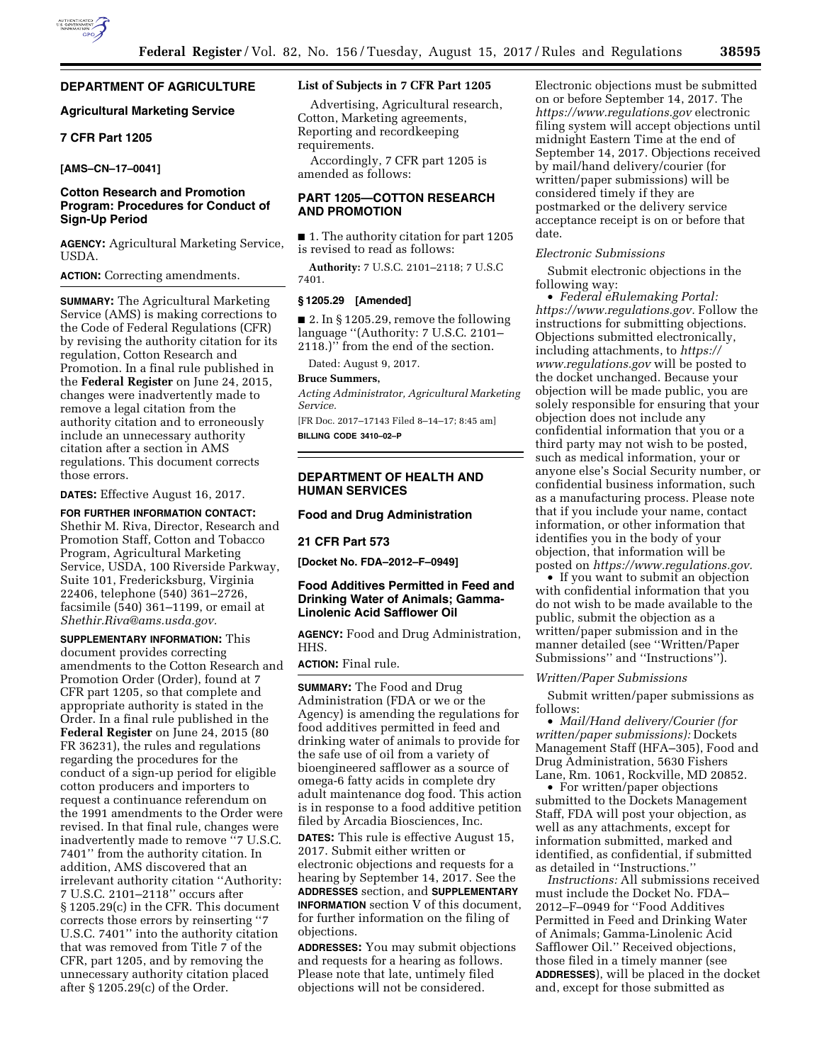# **DEPARTMENT OF AGRICULTURE**

# **Agricultural Marketing Service**

# **7 CFR Part 1205**

**[AMS–CN–17–0041]** 

# **Cotton Research and Promotion Program: Procedures for Conduct of Sign-Up Period**

**AGENCY:** Agricultural Marketing Service, USDA.

**ACTION:** Correcting amendments.

**SUMMARY:** The Agricultural Marketing Service (AMS) is making corrections to the Code of Federal Regulations (CFR) by revising the authority citation for its regulation, Cotton Research and Promotion. In a final rule published in the **Federal Register** on June 24, 2015, changes were inadvertently made to remove a legal citation from the authority citation and to erroneously include an unnecessary authority citation after a section in AMS regulations. This document corrects those errors.

**DATES:** Effective August 16, 2017.

**FOR FURTHER INFORMATION CONTACT:**  Shethir M. Riva, Director, Research and Promotion Staff, Cotton and Tobacco Program, Agricultural Marketing Service, USDA, 100 Riverside Parkway, Suite 101, Fredericksburg, Virginia 22406, telephone (540) 361–2726, facsimile (540) 361–1199, or email at *[Shethir.Riva@ams.usda.gov.](mailto:Shethir.Riva@ams.usda.gov)* 

**SUPPLEMENTARY INFORMATION:** This document provides correcting amendments to the Cotton Research and Promotion Order (Order), found at 7 CFR part 1205, so that complete and appropriate authority is stated in the Order. In a final rule published in the **Federal Register** on June 24, 2015 (80 FR 36231), the rules and regulations regarding the procedures for the conduct of a sign-up period for eligible cotton producers and importers to request a continuance referendum on the 1991 amendments to the Order were revised. In that final rule, changes were inadvertently made to remove ''7 U.S.C. 7401'' from the authority citation. In addition, AMS discovered that an irrelevant authority citation ''Authority: 7 U.S.C. 2101–2118'' occurs after § 1205.29(c) in the CFR. This document corrects those errors by reinserting ''7 U.S.C. 7401'' into the authority citation that was removed from Title 7 of the CFR, part 1205, and by removing the unnecessary authority citation placed after § 1205.29(c) of the Order.

### **List of Subjects in 7 CFR Part 1205**

Advertising, Agricultural research, Cotton, Marketing agreements, Reporting and recordkeeping requirements.

Accordingly, 7 CFR part 1205 is amended as follows:

# **PART 1205—COTTON RESEARCH AND PROMOTION**

■ 1. The authority citation for part 1205 is revised to read as follows:

**Authority:** 7 U.S.C. 2101–2118; 7 U.S.C 7401.

## **§ 1205.29 [Amended]**

 $\blacksquare$  2. In § 1205.29, remove the following language ''(Authority: 7 U.S.C. 2101– 2118.)'' from the end of the section.

Dated: August 9, 2017.

#### **Bruce Summers,**

*Acting Administrator, Agricultural Marketing Service.* 

[FR Doc. 2017–17143 Filed 8–14–17; 8:45 am] **BILLING CODE 3410–02–P** 

**DEPARTMENT OF HEALTH AND HUMAN SERVICES** 

# **Food and Drug Administration**

#### **21 CFR Part 573**

**[Docket No. FDA–2012–F–0949]** 

# **Food Additives Permitted in Feed and Drinking Water of Animals; Gamma-Linolenic Acid Safflower Oil**

**AGENCY:** Food and Drug Administration, HHS.

### **ACTION:** Final rule.

**SUMMARY:** The Food and Drug Administration (FDA or we or the Agency) is amending the regulations for food additives permitted in feed and drinking water of animals to provide for the safe use of oil from a variety of bioengineered safflower as a source of omega-6 fatty acids in complete dry adult maintenance dog food. This action is in response to a food additive petition filed by Arcadia Biosciences, Inc.

**DATES:** This rule is effective August 15, 2017. Submit either written or electronic objections and requests for a hearing by September 14, 2017. See the **ADDRESSES** section, and **SUPPLEMENTARY INFORMATION** section V of this document, for further information on the filing of objections.

**ADDRESSES:** You may submit objections and requests for a hearing as follows. Please note that late, untimely filed objections will not be considered.

Electronic objections must be submitted on or before September 14, 2017. The *<https://www.regulations.gov>* electronic filing system will accept objections until midnight Eastern Time at the end of September 14, 2017. Objections received by mail/hand delivery/courier (for written/paper submissions) will be considered timely if they are postmarked or the delivery service acceptance receipt is on or before that date.

#### *Electronic Submissions*

Submit electronic objections in the following way:

• *Federal eRulemaking Portal: [https://www.regulations.gov.](https://www.regulations.gov)* Follow the instructions for submitting objections. Objections submitted electronically, including attachments, to *[https://](https://www.regulations.gov) [www.regulations.gov](https://www.regulations.gov)* will be posted to the docket unchanged. Because your objection will be made public, you are solely responsible for ensuring that your objection does not include any confidential information that you or a third party may not wish to be posted, such as medical information, your or anyone else's Social Security number, or confidential business information, such as a manufacturing process. Please note that if you include your name, contact information, or other information that identifies you in the body of your objection, that information will be posted on *[https://www.regulations.gov.](https://www.regulations.gov)* 

• If you want to submit an objection with confidential information that you do not wish to be made available to the public, submit the objection as a written/paper submission and in the manner detailed (see ''Written/Paper Submissions'' and ''Instructions'').

#### *Written/Paper Submissions*

Submit written/paper submissions as follows:

• *Mail/Hand delivery/Courier (for written/paper submissions):* Dockets Management Staff (HFA–305), Food and Drug Administration, 5630 Fishers Lane, Rm. 1061, Rockville, MD 20852.

• For written/paper objections submitted to the Dockets Management Staff, FDA will post your objection, as well as any attachments, except for information submitted, marked and identified, as confidential, if submitted as detailed in ''Instructions.''

*Instructions:* All submissions received must include the Docket No. FDA– 2012–F–0949 for ''Food Additives Permitted in Feed and Drinking Water of Animals; Gamma-Linolenic Acid Safflower Oil.'' Received objections, those filed in a timely manner (see **ADDRESSES**), will be placed in the docket and, except for those submitted as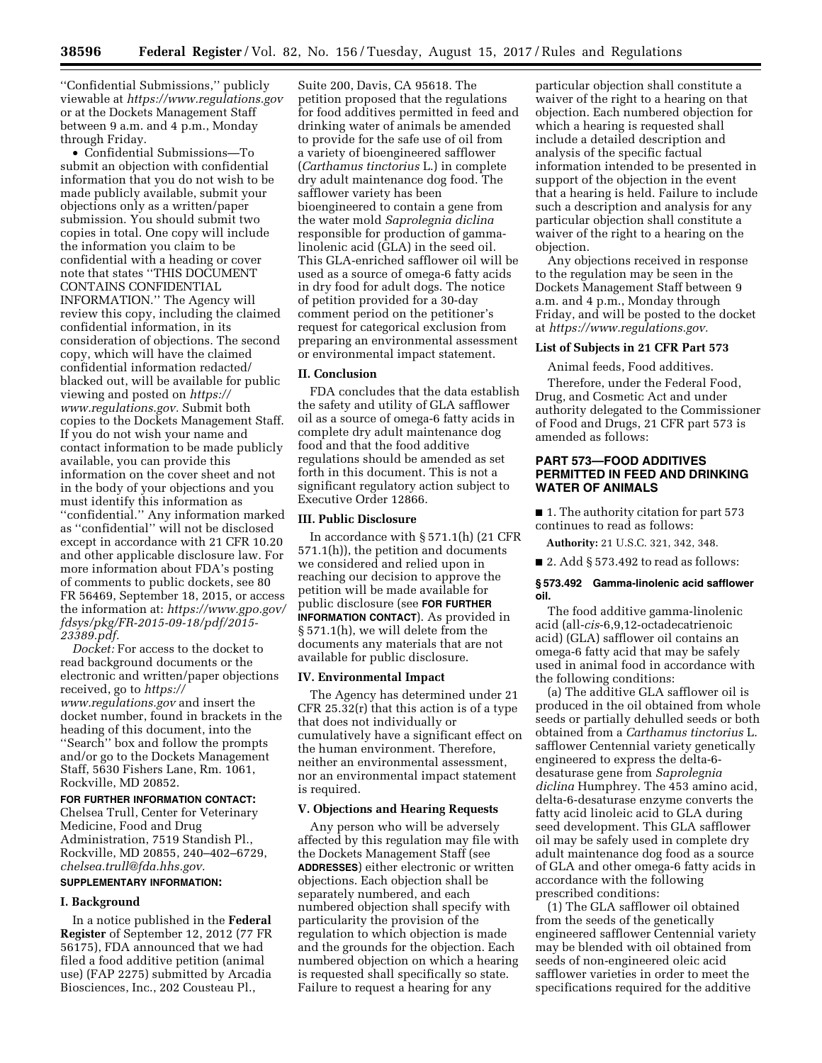''Confidential Submissions,'' publicly viewable at *<https://www.regulations.gov>* or at the Dockets Management Staff between 9 a.m. and 4 p.m., Monday through Friday.

• Confidential Submissions—To submit an objection with confidential information that you do not wish to be made publicly available, submit your objections only as a written/paper submission. You should submit two copies in total. One copy will include the information you claim to be confidential with a heading or cover note that states ''THIS DOCUMENT CONTAINS CONFIDENTIAL INFORMATION.'' The Agency will review this copy, including the claimed confidential information, in its consideration of objections. The second copy, which will have the claimed confidential information redacted/ blacked out, will be available for public viewing and posted on *[https://](https://www.regulations.gov) [www.regulations.gov.](https://www.regulations.gov)* Submit both copies to the Dockets Management Staff. If you do not wish your name and contact information to be made publicly available, you can provide this information on the cover sheet and not in the body of your objections and you must identify this information as ''confidential.'' Any information marked as ''confidential'' will not be disclosed except in accordance with 21 CFR 10.20 and other applicable disclosure law. For more information about FDA's posting of comments to public dockets, see 80 FR 56469, September 18, 2015, or access the information at: *[https://www.gpo.gov/](https://www.gpo.gov/fdsys/pkg/FR-2015-09-18/pdf/2015-23389.pdf) [fdsys/pkg/FR-2015-09-18/pdf/2015-](https://www.gpo.gov/fdsys/pkg/FR-2015-09-18/pdf/2015-23389.pdf)  [23389.pdf.](https://www.gpo.gov/fdsys/pkg/FR-2015-09-18/pdf/2015-23389.pdf)* 

*Docket:* For access to the docket to read background documents or the electronic and written/paper objections received, go to *[https://](https://www.regulations.gov) [www.regulations.gov](https://www.regulations.gov)* and insert the docket number, found in brackets in the heading of this document, into the ''Search'' box and follow the prompts and/or go to the Dockets Management Staff, 5630 Fishers Lane, Rm. 1061, Rockville, MD 20852.

# **FOR FURTHER INFORMATION CONTACT:**

Chelsea Trull, Center for Veterinary Medicine, Food and Drug Administration, 7519 Standish Pl., Rockville, MD 20855, 240–402–6729, *[chelsea.trull@fda.hhs.gov.](mailto:chelsea.trull@fda.hhs.gov)* 

#### **SUPPLEMENTARY INFORMATION:**

#### **I. Background**

In a notice published in the **Federal Register** of September 12, 2012 (77 FR 56175), FDA announced that we had filed a food additive petition (animal use) (FAP 2275) submitted by Arcadia Biosciences, Inc., 202 Cousteau Pl.,

Suite 200, Davis, CA 95618. The petition proposed that the regulations for food additives permitted in feed and drinking water of animals be amended to provide for the safe use of oil from a variety of bioengineered safflower (*Carthamus tinctorius* L.) in complete dry adult maintenance dog food. The safflower variety has been bioengineered to contain a gene from the water mold *Saprolegnia diclina*  responsible for production of gammalinolenic acid (GLA) in the seed oil. This GLA-enriched safflower oil will be used as a source of omega-6 fatty acids in dry food for adult dogs. The notice of petition provided for a 30-day comment period on the petitioner's request for categorical exclusion from preparing an environmental assessment or environmental impact statement.

## **II. Conclusion**

FDA concludes that the data establish the safety and utility of GLA safflower oil as a source of omega-6 fatty acids in complete dry adult maintenance dog food and that the food additive regulations should be amended as set forth in this document. This is not a significant regulatory action subject to Executive Order 12866.

#### **III. Public Disclosure**

In accordance with § 571.1(h) (21 CFR 571.1(h)), the petition and documents we considered and relied upon in reaching our decision to approve the petition will be made available for public disclosure (see **FOR FURTHER INFORMATION CONTACT**). As provided in § 571.1(h), we will delete from the documents any materials that are not available for public disclosure.

### **IV. Environmental Impact**

The Agency has determined under 21 CFR 25.32(r) that this action is of a type that does not individually or cumulatively have a significant effect on the human environment. Therefore, neither an environmental assessment, nor an environmental impact statement is required.

### **V. Objections and Hearing Requests**

Any person who will be adversely affected by this regulation may file with the Dockets Management Staff (see **ADDRESSES**) either electronic or written objections. Each objection shall be separately numbered, and each numbered objection shall specify with particularity the provision of the regulation to which objection is made and the grounds for the objection. Each numbered objection on which a hearing is requested shall specifically so state. Failure to request a hearing for any

particular objection shall constitute a waiver of the right to a hearing on that objection. Each numbered objection for which a hearing is requested shall include a detailed description and analysis of the specific factual information intended to be presented in support of the objection in the event that a hearing is held. Failure to include such a description and analysis for any particular objection shall constitute a waiver of the right to a hearing on the objection.

Any objections received in response to the regulation may be seen in the Dockets Management Staff between 9 a.m. and 4 p.m., Monday through Friday, and will be posted to the docket at *[https://www.regulations.gov.](https://www.regulations.gov)* 

### **List of Subjects in 21 CFR Part 573**

Animal feeds, Food additives.

Therefore, under the Federal Food, Drug, and Cosmetic Act and under authority delegated to the Commissioner of Food and Drugs, 21 CFR part 573 is amended as follows:

# **PART 573—FOOD ADDITIVES PERMITTED IN FEED AND DRINKING WATER OF ANIMALS**

■ 1. The authority citation for part 573 continues to read as follows:

**Authority:** 21 U.S.C. 321, 342, 348.

 $\blacksquare$  2. Add § 573.492 to read as follows:

### **§ 573.492 Gamma-linolenic acid safflower oil.**

The food additive gamma-linolenic acid (all-*cis*-6,9,12-octadecatrienoic acid) (GLA) safflower oil contains an omega-6 fatty acid that may be safely used in animal food in accordance with the following conditions:

(a) The additive GLA safflower oil is produced in the oil obtained from whole seeds or partially dehulled seeds or both obtained from a *Carthamus tinctorius* L. safflower Centennial variety genetically engineered to express the delta-6 desaturase gene from *Saprolegnia diclina* Humphrey. The 453 amino acid, delta-6-desaturase enzyme converts the fatty acid linoleic acid to GLA during seed development. This GLA safflower oil may be safely used in complete dry adult maintenance dog food as a source of GLA and other omega-6 fatty acids in accordance with the following prescribed conditions:

(1) The GLA safflower oil obtained from the seeds of the genetically engineered safflower Centennial variety may be blended with oil obtained from seeds of non-engineered oleic acid safflower varieties in order to meet the specifications required for the additive